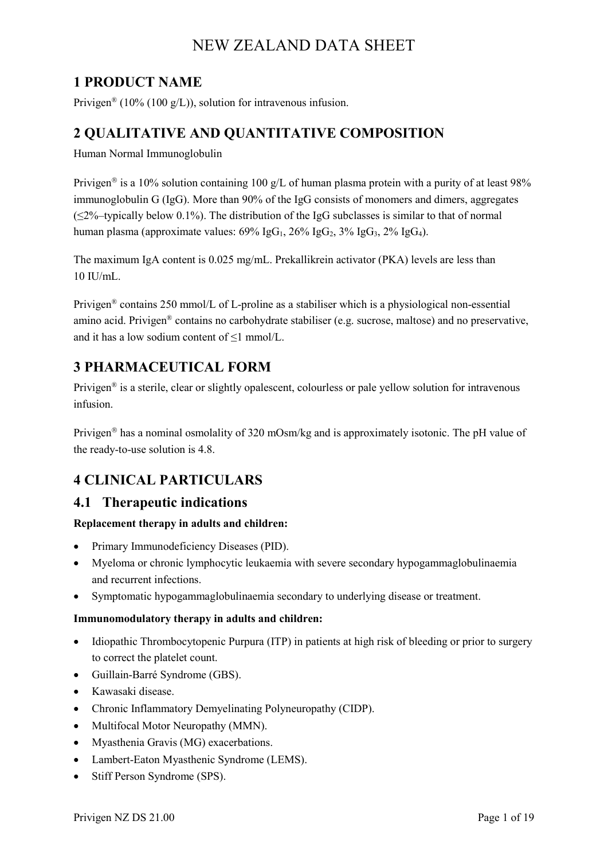## **1 PRODUCT NAME**

Privigen<sup>®</sup> (10% (100 g/L)), solution for intravenous infusion.

### **2 QUALITATIVE AND QUANTITATIVE COMPOSITION**

Human Normal Immunoglobulin

Privigen<sup>®</sup> is a 10% solution containing 100 g/L of human plasma protein with a purity of at least 98% immunoglobulin G (IgG). More than 90% of the IgG consists of monomers and dimers, aggregates (≤2%–typically below 0.1%). The distribution of the IgG subclasses is similar to that of normal human plasma (approximate values:  $69\%$  IgG<sub>1</sub>,  $26\%$  IgG<sub>2</sub>,  $3\%$  IgG<sub>3</sub>,  $2\%$  IgG<sub>4</sub>).

The maximum IgA content is 0.025 mg/mL. Prekallikrein activator (PKA) levels are less than  $10$  II  $l/mL$ .

Privigen® contains 250 mmol/L of L-proline as a stabiliser which is a physiological non-essential amino acid. Privigen® contains no carbohydrate stabiliser (e.g. sucrose, maltose) and no preservative, and it has a low sodium content of ≤1 mmol/L.

## **3 PHARMACEUTICAL FORM**

Privigen<sup>®</sup> is a sterile, clear or slightly opalescent, colourless or pale yellow solution for intravenous infusion.

Privigen<sup>®</sup> has a nominal osmolality of 320 mOsm/kg and is approximately isotonic. The pH value of the ready-to-use solution is 4.8.

## **4 CLINICAL PARTICULARS**

#### **4.1 Therapeutic indications**

#### **Replacement therapy in adults and children:**

- Primary Immunodeficiency Diseases (PID).
- Myeloma or chronic lymphocytic leukaemia with severe secondary hypogammaglobulinaemia and recurrent infections.
- Symptomatic hypogammaglobulinaemia secondary to underlying disease or treatment.

#### **Immunomodulatory therapy in adults and children:**

- Idiopathic Thrombocytopenic Purpura (ITP) in patients at high risk of bleeding or prior to surgery to correct the platelet count.
- Guillain-Barré Syndrome (GBS).
- Kawasaki disease.
- Chronic Inflammatory Demyelinating Polyneuropathy (CIDP).
- Multifocal Motor Neuropathy (MMN).
- Myasthenia Gravis (MG) exacerbations.
- Lambert-Eaton Myasthenic Syndrome (LEMS).
- Stiff Person Syndrome (SPS).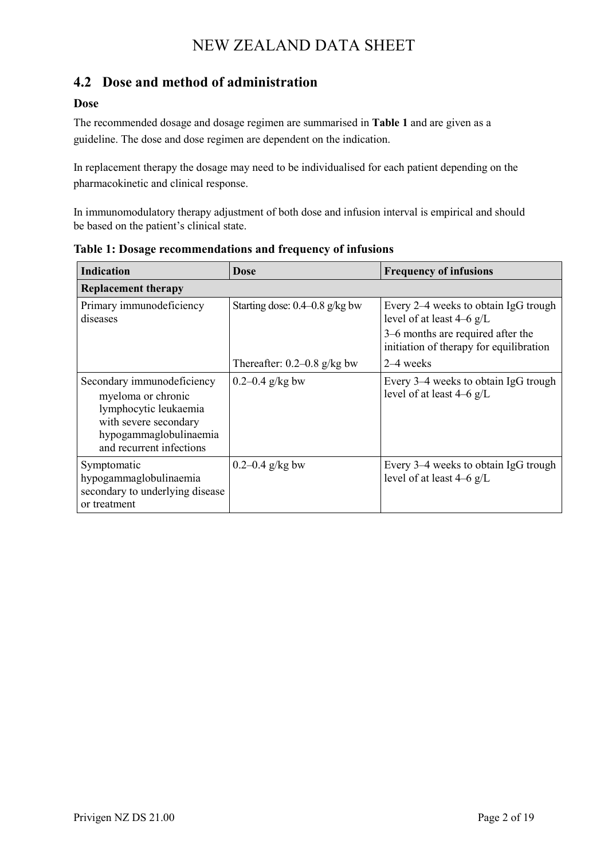## **4.2 Dose and method of administration**

#### **Dose**

The recommended dosage and dosage regimen are summarised in **Table 1** and are given as a guideline. The dose and dose regimen are dependent on the indication.

In replacement therapy the dosage may need to be individualised for each patient depending on the pharmacokinetic and clinical response.

In immunomodulatory therapy adjustment of both dose and infusion interval is empirical and should be based on the patient's clinical state.

| <b>Indication</b>                                                                                                                                        | Dose                               | <b>Frequency of infusions</b>                                                |
|----------------------------------------------------------------------------------------------------------------------------------------------------------|------------------------------------|------------------------------------------------------------------------------|
| <b>Replacement therapy</b>                                                                                                                               |                                    |                                                                              |
| Primary immunodeficiency<br>diseases                                                                                                                     | Starting dose: $0.4 - 0.8$ g/kg bw | Every 2–4 weeks to obtain IgG trough<br>level of at least $4-6$ g/L          |
|                                                                                                                                                          |                                    | 3–6 months are required after the<br>initiation of therapy for equilibration |
|                                                                                                                                                          | Thereafter: $0.2-0.8$ g/kg bw      | $2-4$ weeks                                                                  |
| Secondary immunodeficiency<br>myeloma or chronic<br>lymphocytic leukaemia<br>with severe secondary<br>hypogammaglobulinaemia<br>and recurrent infections | $0.2 - 0.4$ g/kg bw                | Every 3–4 weeks to obtain IgG trough<br>level of at least $4-6$ g/L          |
| Symptomatic<br>hypogammaglobulinaemia<br>secondary to underlying disease<br>or treatment                                                                 | $0.2 - 0.4$ g/kg bw                | Every 3–4 weeks to obtain IgG trough<br>level of at least $4-6$ g/L          |

**Table 1: Dosage recommendations and frequency of infusions**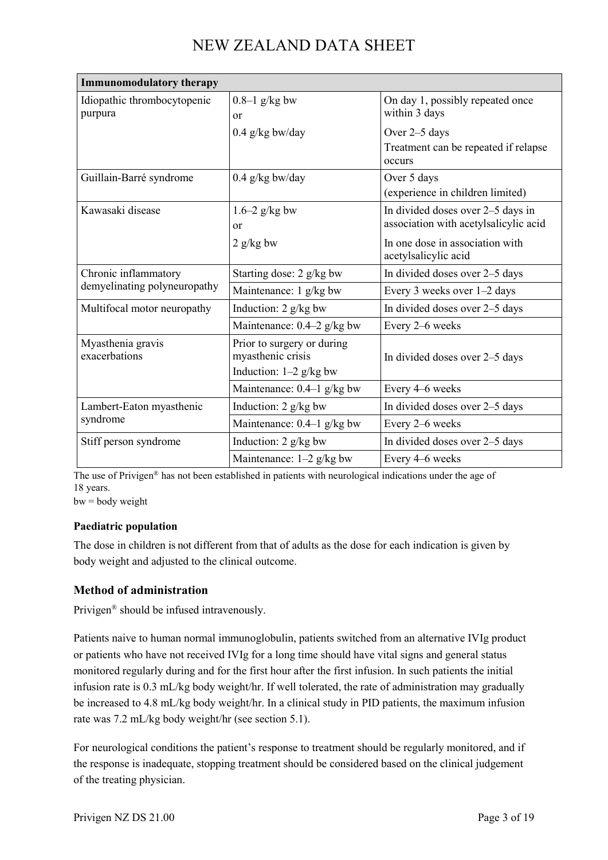| <b>Immunomodulatory therapy</b>                      |                                                                             |                                                                            |
|------------------------------------------------------|-----------------------------------------------------------------------------|----------------------------------------------------------------------------|
| Idiopathic thrombocytopenic<br>purpura               | $0.8-1$ g/kg bw<br><b>or</b>                                                | On day 1, possibly repeated once<br>within 3 days                          |
|                                                      | $0.4$ g/kg bw/day                                                           | Over 2–5 days<br>Treatment can be repeated if relapse<br>occurs            |
| Guillain-Barré syndrome                              | $0.4$ g/kg bw/day                                                           | Over 5 days<br>(experience in children limited)                            |
| Kawasaki disease                                     | $1.6-2$ g/kg bw<br>or                                                       | In divided doses over 2–5 days in<br>association with acetylsalicylic acid |
|                                                      | $2$ g/kg bw                                                                 | In one dose in association with<br>acetylsalicylic acid                    |
| Chronic inflammatory<br>demyelinating polyneuropathy | Starting dose: 2 g/kg bw                                                    | In divided doses over 2-5 days                                             |
|                                                      | Maintenance: $1 \frac{g}{kg}$ bw                                            | Every 3 weeks over 1-2 days                                                |
| Multifocal motor neuropathy                          | Induction: 2 g/kg bw                                                        | In divided doses over 2-5 days                                             |
|                                                      | Maintenance: $0.4-2$ g/kg bw                                                | Every 2-6 weeks                                                            |
| Myasthenia gravis<br>exacerbations                   | Prior to surgery or during<br>myasthenic crisis<br>Induction: $1-2$ g/kg bw | In divided doses over 2-5 days                                             |
|                                                      | Maintenance: $0.4-1$ g/kg bw                                                | Every 4–6 weeks                                                            |
| Lambert-Eaton myasthenic<br>syndrome                 | Induction: 2 g/kg bw                                                        | In divided doses over 2–5 days                                             |
|                                                      | Maintenance: $0.4-1$ g/kg bw                                                | Every 2–6 weeks                                                            |
| Stiff person syndrome                                | Induction: 2 g/kg bw                                                        | In divided doses over 2-5 days                                             |
|                                                      | Maintenance: 1-2 g/kg bw                                                    | Every 4-6 weeks                                                            |

The use of Privigen® has not been established in patients with neurological indications under the age of 18 years.

 $bw = body weight$ 

#### **Paediatric population**

The dose in children is not different from that of adults as the dose for each indication is given by body weight and adjusted to the clinical outcome.

#### **Method of administration**

Privigen® should be infused intravenously.

Patients naive to human normal immunoglobulin, patients switched from an alternative IVIg product or patients who have not received IVIg for a long time should have vital signs and general status monitored regularly during and for the first hour after the first infusion. In such patients the initial infusion rate is 0.3 mL/kg body weight/hr. If well tolerated, the rate of administration may gradually be increased to 4.8 mL/kg body weight/hr. In a clinical study in PID patients, the maximum infusion rate was 7.2 mL/kg body weight/hr (see section 5.1).

For neurological conditions the patient's response to treatment should be regularly monitored, and if the response is inadequate, stopping treatment should be considered based on the clinical judgement of the treating physician.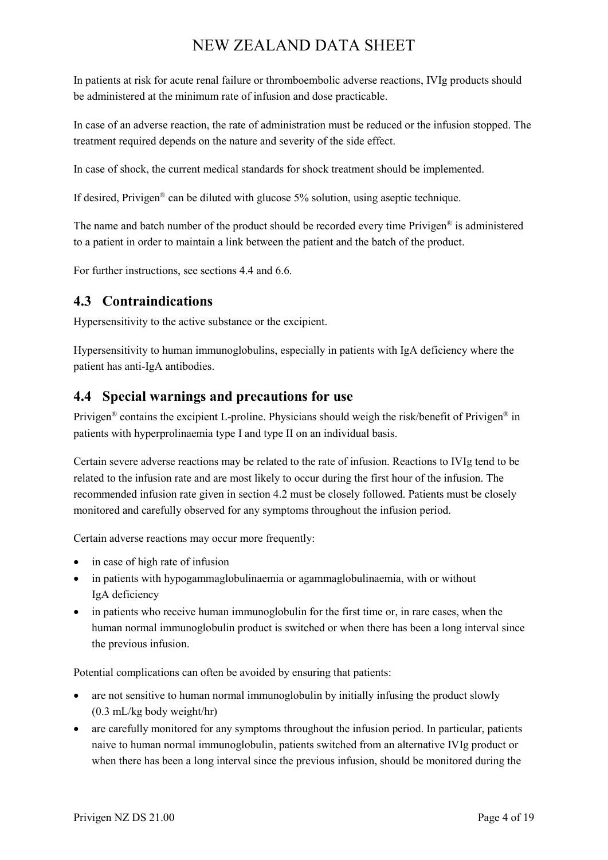In patients at risk for acute renal failure or thromboembolic adverse reactions, IVIg products should be administered at the minimum rate of infusion and dose practicable.

In case of an adverse reaction, the rate of administration must be reduced or the infusion stopped. The treatment required depends on the nature and severity of the side effect.

In case of shock, the current medical standards for shock treatment should be implemented.

If desired, Privigen<sup>®</sup> can be diluted with glucose  $5\%$  solution, using aseptic technique.

The name and batch number of the product should be recorded every time Privigen® is administered to a patient in order to maintain a link between the patient and the batch of the product.

For further instructions, see sections 4.4 and 6.6.

### **4.3 Contraindications**

Hypersensitivity to the active substance or the excipient.

Hypersensitivity to human immunoglobulins, especially in patients with IgA deficiency where the patient has anti-IgA antibodies.

### **4.4 Special warnings and precautions for use**

Privigen® contains the excipient L-proline. Physicians should weigh the risk/benefit of Privigen® in patients with hyperprolinaemia type I and type II on an individual basis.

Certain severe adverse reactions may be related to the rate of infusion. Reactions to IVIg tend to be related to the infusion rate and are most likely to occur during the first hour of the infusion. The recommended infusion rate given in section 4.2 must be closely followed. Patients must be closely monitored and carefully observed for any symptoms throughout the infusion period.

Certain adverse reactions may occur more frequently:

- in case of high rate of infusion
- in patients with hypogammaglobulinaemia or agammaglobulinaemia, with or without IgA deficiency
- in patients who receive human immunoglobulin for the first time or, in rare cases, when the human normal immunoglobulin product is switched or when there has been a long interval since the previous infusion.

Potential complications can often be avoided by ensuring that patients:

- are not sensitive to human normal immunoglobulin by initially infusing the product slowly (0.3 mL/kg body weight/hr)
- are carefully monitored for any symptoms throughout the infusion period. In particular, patients naive to human normal immunoglobulin, patients switched from an alternative IVIg product or when there has been a long interval since the previous infusion, should be monitored during the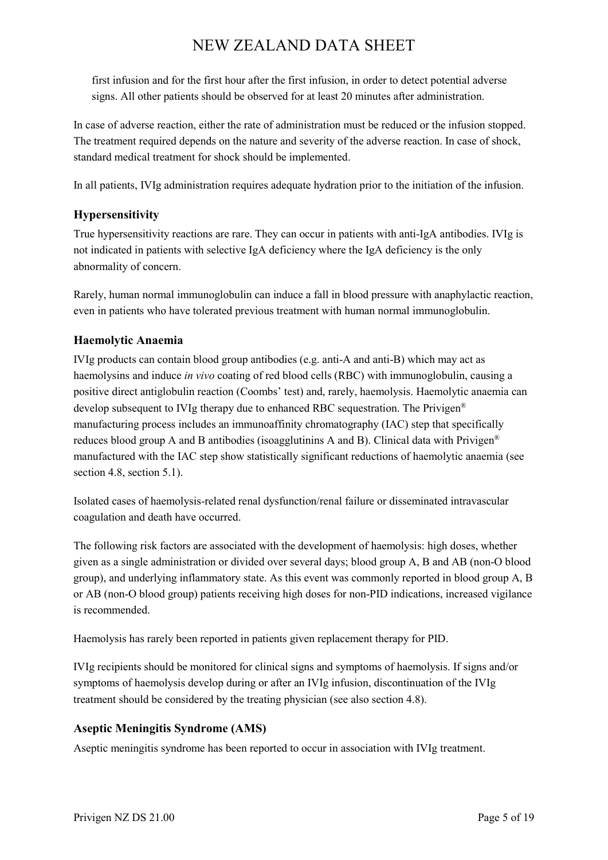first infusion and for the first hour after the first infusion, in order to detect potential adverse signs. All other patients should be observed for at least 20 minutes after administration.

In case of adverse reaction, either the rate of administration must be reduced or the infusion stopped. The treatment required depends on the nature and severity of the adverse reaction. In case of shock, standard medical treatment for shock should be implemented.

In all patients, IVIg administration requires adequate hydration prior to the initiation of the infusion.

#### **Hypersensitivity**

True hypersensitivity reactions are rare. They can occur in patients with anti-IgA antibodies. IVIg is not indicated in patients with selective IgA deficiency where the IgA deficiency is the only abnormality of concern.

Rarely, human normal immunoglobulin can induce a fall in blood pressure with anaphylactic reaction, even in patients who have tolerated previous treatment with human normal immunoglobulin.

#### **Haemolytic Anaemia**

IVIg products can contain blood group antibodies (e.g. anti-A and anti-B) which may act as haemolysins and induce *in vivo* coating of red blood cells (RBC) with immunoglobulin, causing a positive direct antiglobulin reaction (Coombs' test) and, rarely, haemolysis. Haemolytic anaemia can develop subsequent to IVIg therapy due to enhanced RBC sequestration. The Privigen® manufacturing process includes an immunoaffinity chromatography (IAC) step that specifically reduces blood group A and B antibodies (isoagglutinins A and B). Clinical data with Privigen<sup>®</sup> manufactured with the IAC step show statistically significant reductions of haemolytic anaemia (see section 4.8, section 5.1).

Isolated cases of haemolysis-related renal dysfunction/renal failure or disseminated intravascular coagulation and death have occurred.

The following risk factors are associated with the development of haemolysis: high doses, whether given as a single administration or divided over several days; blood group A, B and AB (non-O blood group), and underlying inflammatory state. As this event was commonly reported in blood group A, B or AB (non-O blood group) patients receiving high doses for non-PID indications, increased vigilance is recommended.

Haemolysis has rarely been reported in patients given replacement therapy for PID.

IVIg recipients should be monitored for clinical signs and symptoms of haemolysis. If signs and/or symptoms of haemolysis develop during or after an IVIg infusion, discontinuation of the IVIg treatment should be considered by the treating physician (see also section 4.8).

#### **Aseptic Meningitis Syndrome (AMS)**

Aseptic meningitis syndrome has been reported to occur in association with IVIg treatment.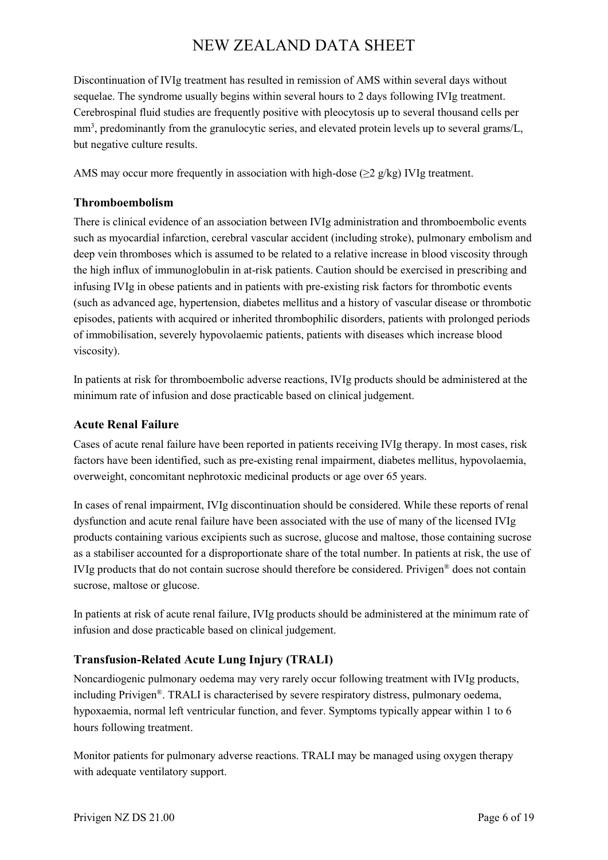Discontinuation of IVIg treatment has resulted in remission of AMS within several days without sequelae. The syndrome usually begins within several hours to 2 days following IVIg treatment. Cerebrospinal fluid studies are frequently positive with pleocytosis up to several thousand cells per mm<sup>3</sup>, predominantly from the granulocytic series, and elevated protein levels up to several grams/L, but negative culture results.

AMS may occur more frequently in association with high-dose ( $\geq$ 2 g/kg) IVIg treatment.

#### **Thromboembolism**

There is clinical evidence of an association between IVIg administration and thromboembolic events such as myocardial infarction, cerebral vascular accident (including stroke), pulmonary embolism and deep vein thromboses which is assumed to be related to a relative increase in blood viscosity through the high influx of immunoglobulin in at-risk patients. Caution should be exercised in prescribing and infusing IVIg in obese patients and in patients with pre-existing risk factors for thrombotic events (such as advanced age, hypertension, diabetes mellitus and a history of vascular disease or thrombotic episodes, patients with acquired or inherited thrombophilic disorders, patients with prolonged periods of immobilisation, severely hypovolaemic patients, patients with diseases which increase blood viscosity).

In patients at risk for thromboembolic adverse reactions, IVIg products should be administered at the minimum rate of infusion and dose practicable based on clinical judgement.

#### **Acute Renal Failure**

Cases of acute renal failure have been reported in patients receiving IVIg therapy. In most cases, risk factors have been identified, such as pre-existing renal impairment, diabetes mellitus, hypovolaemia, overweight, concomitant nephrotoxic medicinal products or age over 65 years.

In cases of renal impairment, IVIg discontinuation should be considered. While these reports of renal dysfunction and acute renal failure have been associated with the use of many of the licensed IVIg products containing various excipients such as sucrose, glucose and maltose, those containing sucrose as a stabiliser accounted for a disproportionate share of the total number. In patients at risk, the use of IVIg products that do not contain sucrose should therefore be considered. Privigen® does not contain sucrose, maltose or glucose.

In patients at risk of acute renal failure, IVIg products should be administered at the minimum rate of infusion and dose practicable based on clinical judgement.

#### **Transfusion-Related Acute Lung Injury (TRALI)**

Noncardiogenic pulmonary oedema may very rarely occur following treatment with IVIg products, including Privigen®. TRALI is characterised by severe respiratory distress, pulmonary oedema, hypoxaemia, normal left ventricular function, and fever. Symptoms typically appear within 1 to 6 hours following treatment.

Monitor patients for pulmonary adverse reactions. TRALI may be managed using oxygen therapy with adequate ventilatory support.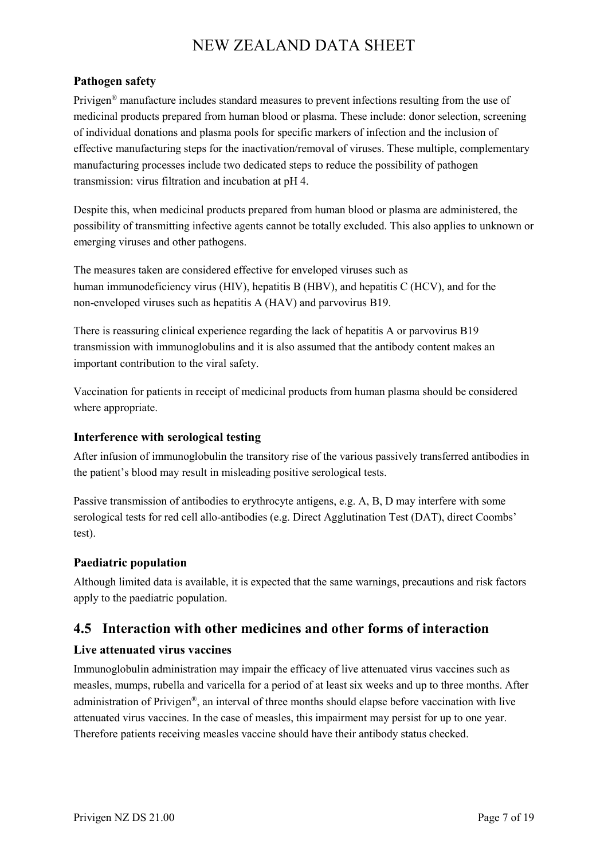#### **Pathogen safety**

Privigen® manufacture includes standard measures to prevent infections resulting from the use of medicinal products prepared from human blood or plasma. These include: donor selection, screening of individual donations and plasma pools for specific markers of infection and the inclusion of effective manufacturing steps for the inactivation/removal of viruses. These multiple, complementary manufacturing processes include two dedicated steps to reduce the possibility of pathogen transmission: virus filtration and incubation at pH 4.

Despite this, when medicinal products prepared from human blood or plasma are administered, the possibility of transmitting infective agents cannot be totally excluded. This also applies to unknown or emerging viruses and other pathogens.

The measures taken are considered effective for enveloped viruses such as human immunodeficiency virus (HIV), hepatitis B (HBV), and hepatitis C (HCV), and for the non-enveloped viruses such as hepatitis A (HAV) and parvovirus B19.

There is reassuring clinical experience regarding the lack of hepatitis A or parvovirus B19 transmission with immunoglobulins and it is also assumed that the antibody content makes an important contribution to the viral safety.

Vaccination for patients in receipt of medicinal products from human plasma should be considered where appropriate.

#### **Interference with serological testing**

After infusion of immunoglobulin the transitory rise of the various passively transferred antibodies in the patient's blood may result in misleading positive serological tests.

Passive transmission of antibodies to erythrocyte antigens, e.g. A, B, D may interfere with some serological tests for red cell allo-antibodies (e.g. Direct Agglutination Test (DAT), direct Coombs' test).

#### **Paediatric population**

Although limited data is available, it is expected that the same warnings, precautions and risk factors apply to the paediatric population.

#### **4.5 Interaction with other medicines and other forms of interaction**

#### **Live attenuated virus vaccines**

Immunoglobulin administration may impair the efficacy of live attenuated virus vaccines such as measles, mumps, rubella and varicella for a period of at least six weeks and up to three months. After administration of Privigen®, an interval of three months should elapse before vaccination with live attenuated virus vaccines. In the case of measles, this impairment may persist for up to one year. Therefore patients receiving measles vaccine should have their antibody status checked.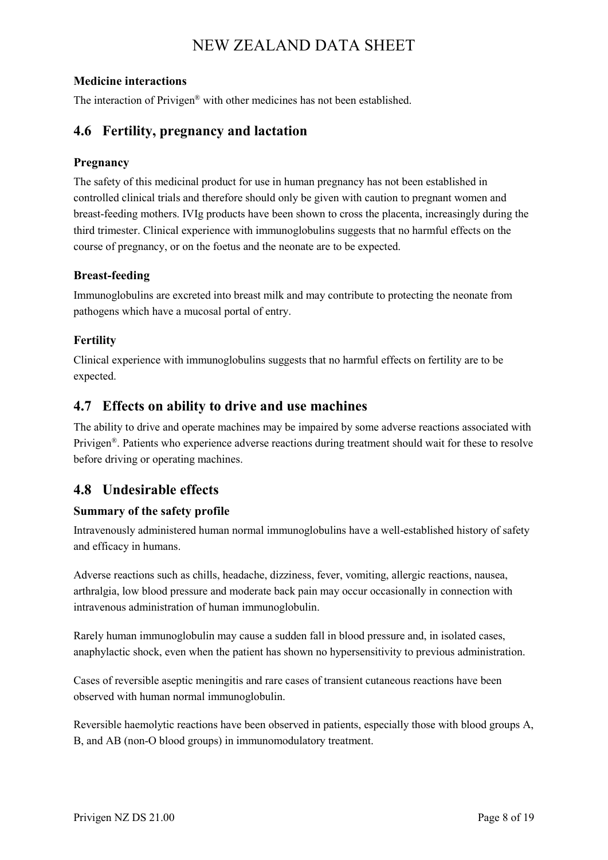#### **Medicine interactions**

The interaction of Privigen® with other medicines has not been established.

#### **4.6 Fertility, pregnancy and lactation**

#### **Pregnancy**

The safety of this medicinal product for use in human pregnancy has not been established in controlled clinical trials and therefore should only be given with caution to pregnant women and breast-feeding mothers. IVIg products have been shown to cross the placenta, increasingly during the third trimester. Clinical experience with immunoglobulins suggests that no harmful effects on the course of pregnancy, or on the foetus and the neonate are to be expected.

#### **Breast-feeding**

Immunoglobulins are excreted into breast milk and may contribute to protecting the neonate from pathogens which have a mucosal portal of entry.

#### **Fertility**

Clinical experience with immunoglobulins suggests that no harmful effects on fertility are to be expected.

#### **4.7 Effects on ability to drive and use machines**

The ability to drive and operate machines may be impaired by some adverse reactions associated with Privigen®. Patients who experience adverse reactions during treatment should wait for these to resolve before driving or operating machines.

## **4.8 Undesirable effects**

#### **Summary of the safety profile**

Intravenously administered human normal immunoglobulins have a well-established history of safety and efficacy in humans.

Adverse reactions such as chills, headache, dizziness, fever, vomiting, allergic reactions, nausea, arthralgia, low blood pressure and moderate back pain may occur occasionally in connection with intravenous administration of human immunoglobulin.

Rarely human immunoglobulin may cause a sudden fall in blood pressure and, in isolated cases, anaphylactic shock, even when the patient has shown no hypersensitivity to previous administration.

Cases of reversible aseptic meningitis and rare cases of transient cutaneous reactions have been observed with human normal immunoglobulin.

Reversible haemolytic reactions have been observed in patients, especially those with blood groups A, B, and AB (non-O blood groups) in immunomodulatory treatment.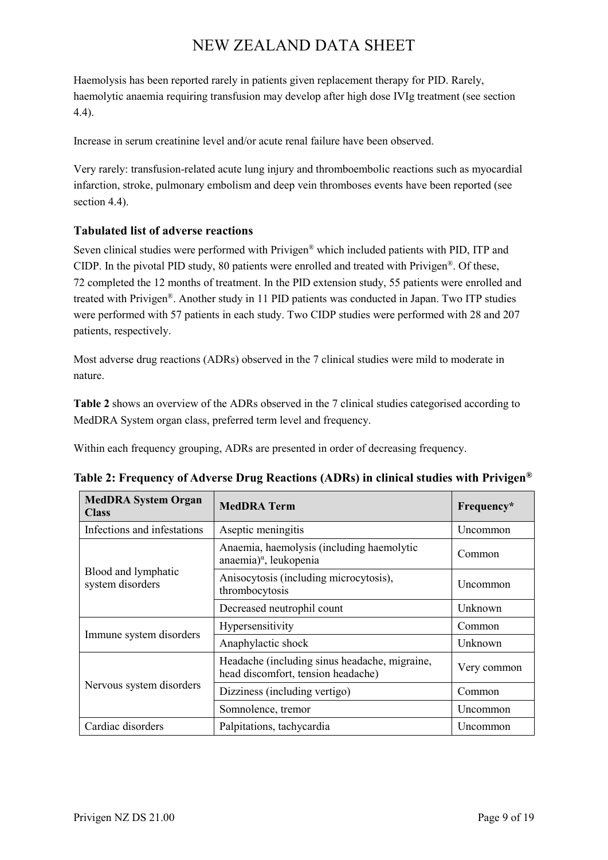Haemolysis has been reported rarely in patients given replacement therapy for PID. Rarely, haemolytic anaemia requiring transfusion may develop after high dose IVIg treatment (see section 4.4).

Increase in serum creatinine level and/or acute renal failure have been observed.

Very rarely: transfusion-related acute lung injury and thromboembolic reactions such as myocardial infarction, stroke, pulmonary embolism and deep vein thromboses events have been reported (see section 4.4).

#### **Tabulated list of adverse reactions**

Seven clinical studies were performed with Privigen® which included patients with PID, ITP and CIDP. In the pivotal PID study, 80 patients were enrolled and treated with Privigen®. Of these, 72 completed the 12 months of treatment. In the PID extension study, 55 patients were enrolled and treated with Privigen®. Another study in 11 PID patients was conducted in Japan. Two ITP studies were performed with 57 patients in each study. Two CIDP studies were performed with 28 and 207 patients, respectively.

Most adverse drug reactions (ADRs) observed in the 7 clinical studies were mild to moderate in nature.

**Table 2** shows an overview of the ADRs observed in the 7 clinical studies categorised according to MedDRA System organ class, preferred term level and frequency.

Within each frequency grouping, ADRs are presented in order of decreasing frequency.

| <b>MedDRA System Organ</b><br><b>Class</b> | <b>MedDRA Term</b>                                                                  | Frequency*      |
|--------------------------------------------|-------------------------------------------------------------------------------------|-----------------|
| Infections and infestations                | Aseptic meningitis                                                                  | Uncommon        |
| Blood and lymphatic<br>system disorders    | Anaemia, haemolysis (including haemolytic<br>anaemia) <sup>a</sup> , leukopenia     | Common          |
|                                            | Anisocytosis (including microcytosis),<br>thrombocytosis                            | Uncommon        |
|                                            | Decreased neutrophil count                                                          | Unknown         |
| Immune system disorders                    | Hypersensitivity                                                                    | Common          |
|                                            | Anaphylactic shock                                                                  | Unknown         |
| Nervous system disorders                   | Headache (including sinus headache, migraine,<br>head discomfort, tension headache) | Very common     |
|                                            | Dizziness (including vertigo)                                                       | Common          |
|                                            | Somnolence, tremor                                                                  | <b>Uncommon</b> |
| Cardiac disorders                          | Palpitations, tachycardia                                                           | Uncommon        |

**Table 2: Frequency of Adverse Drug Reactions (ADRs) in clinical studies with Privigen®**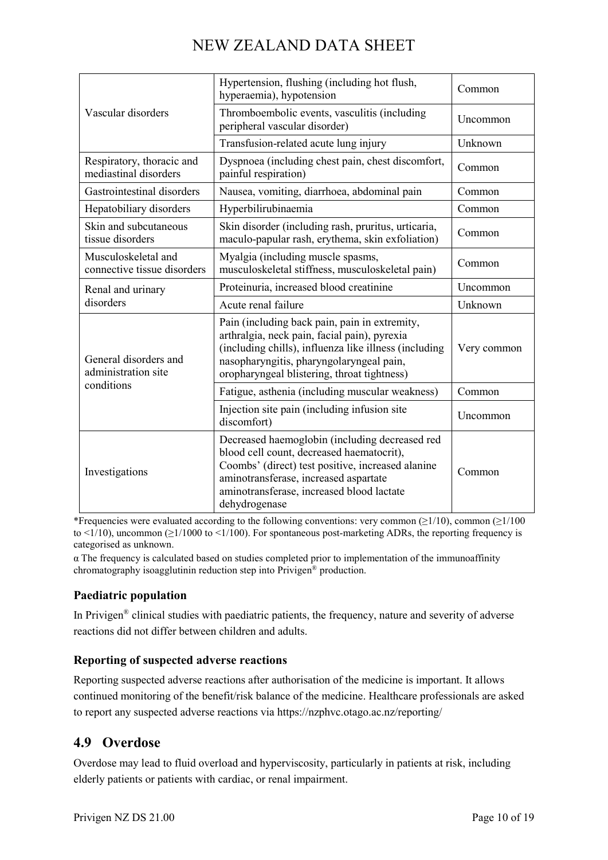| Vascular disorders                                         | Hypertension, flushing (including hot flush,<br>hyperaemia), hypotension                                                                                                                                                                                | Common      |
|------------------------------------------------------------|---------------------------------------------------------------------------------------------------------------------------------------------------------------------------------------------------------------------------------------------------------|-------------|
|                                                            | Thromboembolic events, vasculitis (including<br>peripheral vascular disorder)                                                                                                                                                                           | Uncommon    |
|                                                            | Transfusion-related acute lung injury                                                                                                                                                                                                                   | Unknown     |
| Respiratory, thoracic and<br>mediastinal disorders         | Dyspnoea (including chest pain, chest discomfort,<br>painful respiration)                                                                                                                                                                               | Common      |
| Gastrointestinal disorders                                 | Nausea, vomiting, diarrhoea, abdominal pain                                                                                                                                                                                                             | Common      |
| Hepatobiliary disorders                                    | Hyperbilirubinaemia                                                                                                                                                                                                                                     | Common      |
| Skin and subcutaneous<br>tissue disorders                  | Skin disorder (including rash, pruritus, urticaria,<br>maculo-papular rash, erythema, skin exfoliation)                                                                                                                                                 | Common      |
| Musculoskeletal and<br>connective tissue disorders         | Myalgia (including muscle spasms,<br>musculoskeletal stiffness, musculoskeletal pain)                                                                                                                                                                   | Common      |
| Renal and urinary<br>disorders                             | Proteinuria, increased blood creatinine                                                                                                                                                                                                                 | Uncommon    |
|                                                            | Acute renal failure                                                                                                                                                                                                                                     | Unknown     |
| General disorders and<br>administration site<br>conditions | Pain (including back pain, pain in extremity,<br>arthralgia, neck pain, facial pain), pyrexia<br>(including chills), influenza like illness (including<br>nasopharyngitis, pharyngolaryngeal pain,<br>oropharyngeal blistering, throat tightness)       | Very common |
|                                                            | Fatigue, asthenia (including muscular weakness)                                                                                                                                                                                                         | Common      |
|                                                            | Injection site pain (including infusion site<br>discomfort)                                                                                                                                                                                             | Uncommon    |
| Investigations                                             | Decreased haemoglobin (including decreased red<br>blood cell count, decreased haematocrit),<br>Coombs' (direct) test positive, increased alanine<br>aminotransferase, increased aspartate<br>aminotransferase, increased blood lactate<br>dehydrogenase | Common      |

\*Frequencies were evaluated according to the following conventions: very common ( $\geq$ 1/10), common ( $\geq$ 1/100 to  $\langle 1/10 \rangle$ , uncommon ( $\geq 1/1000$  to  $\langle 1/100 \rangle$ ). For spontaneous post-marketing ADRs, the reporting frequency is categorised as unknown.

 $\alpha$  The frequency is calculated based on studies completed prior to implementation of the immunoaffinity chromatography isoagglutinin reduction step into Privigen® production.

#### **Paediatric population**

In Privigen® clinical studies with paediatric patients, the frequency, nature and severity of adverse reactions did not differ between children and adults.

#### **Reporting of suspected adverse reactions**

Reporting suspected adverse reactions after authorisation of the medicine is important. It allows continued monitoring of the benefit/risk balance of the medicine. Healthcare professionals are asked to report any suspected adverse reactions via https://nzphvc.otago.ac.nz/reporting/

## **4.9 Overdose**

Overdose may lead to fluid overload and hyperviscosity, particularly in patients at risk, including elderly patients or patients with cardiac, or renal impairment.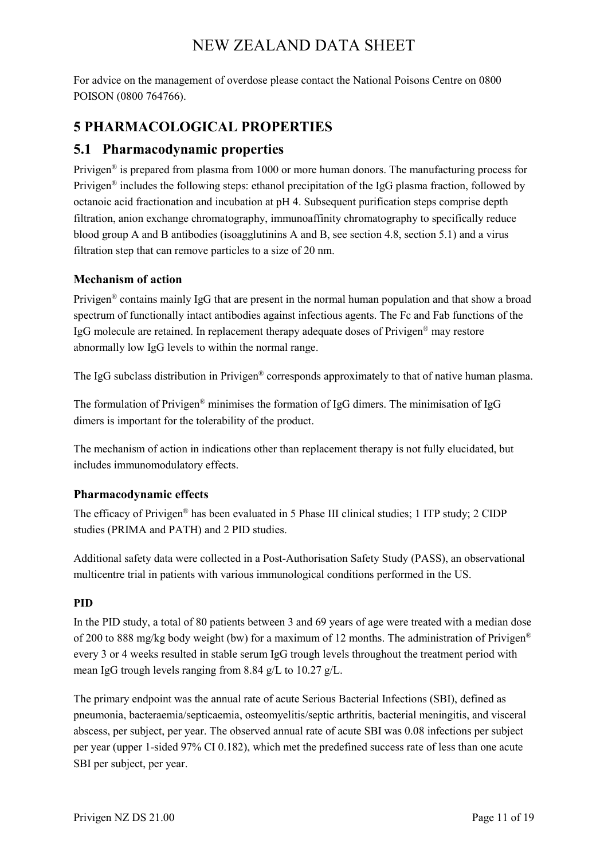For advice on the management of overdose please contact the National Poisons Centre on 0800 POISON (0800 764766).

## **5 PHARMACOLOGICAL PROPERTIES**

## **5.1 Pharmacodynamic properties**

Privigen® is prepared from plasma from 1000 or more human donors. The manufacturing process for Privigen<sup>®</sup> includes the following steps: ethanol precipitation of the IgG plasma fraction, followed by octanoic acid fractionation and incubation at pH 4. Subsequent purification steps comprise depth filtration, anion exchange chromatography, immunoaffinity chromatography to specifically reduce blood group A and B antibodies (isoagglutinins A and B, see section 4.8, section 5.1) and a virus filtration step that can remove particles to a size of 20 nm.

#### **Mechanism of action**

Privigen<sup>®</sup> contains mainly IgG that are present in the normal human population and that show a broad spectrum of functionally intact antibodies against infectious agents. The Fc and Fab functions of the IgG molecule are retained. In replacement therapy adequate doses of Privigen® may restore abnormally low IgG levels to within the normal range.

The IgG subclass distribution in Privigen® corresponds approximately to that of native human plasma.

The formulation of Privigen® minimises the formation of IgG dimers. The minimisation of IgG dimers is important for the tolerability of the product.

The mechanism of action in indications other than replacement therapy is not fully elucidated, but includes immunomodulatory effects.

#### **Pharmacodynamic effects**

The efficacy of Privigen® has been evaluated in 5 Phase III clinical studies; 1 ITP study; 2 CIDP studies (PRIMA and PATH) and 2 PID studies.

Additional safety data were collected in a Post-Authorisation Safety Study (PASS), an observational multicentre trial in patients with various immunological conditions performed in the US.

#### **PID**

In the PID study, a total of 80 patients between 3 and 69 years of age were treated with a median dose of 200 to 888 mg/kg body weight (bw) for a maximum of 12 months. The administration of Privigen® every 3 or 4 weeks resulted in stable serum IgG trough levels throughout the treatment period with mean IgG trough levels ranging from 8.84 g/L to 10.27 g/L.

The primary endpoint was the annual rate of acute Serious Bacterial Infections (SBI), defined as pneumonia, bacteraemia/septicaemia, osteomyelitis/septic arthritis, bacterial meningitis, and visceral abscess, per subject, per year. The observed annual rate of acute SBI was 0.08 infections per subject per year (upper 1-sided 97% CI 0.182), which met the predefined success rate of less than one acute SBI per subject, per year.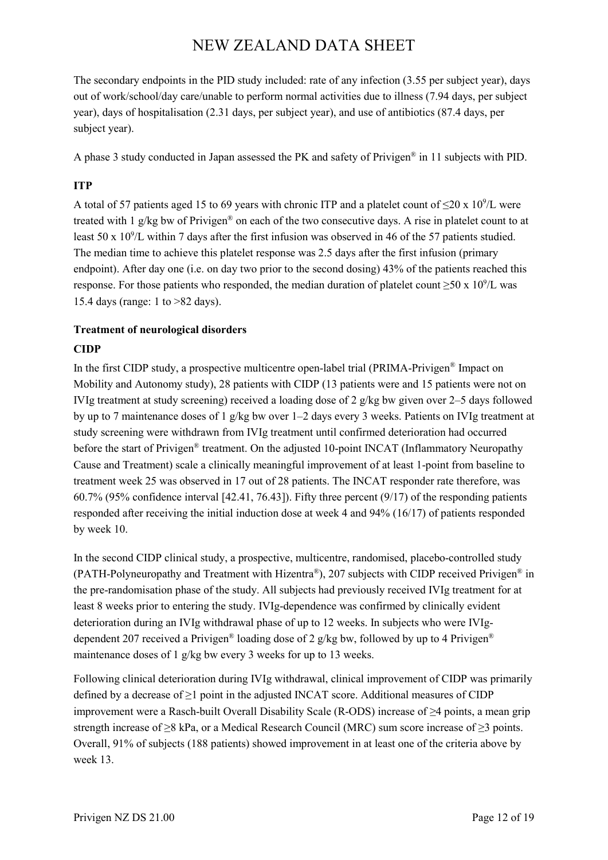The secondary endpoints in the PID study included: rate of any infection (3.55 per subject year), days out of work/school/day care/unable to perform normal activities due to illness (7.94 days, per subject year), days of hospitalisation (2.31 days, per subject year), and use of antibiotics (87.4 days, per subject year).

A phase 3 study conducted in Japan assessed the PK and safety of Privigen® in 11 subjects with PID.

#### **ITP**

A total of 57 patients aged 15 to 69 years with chronic ITP and a platelet count of  $\leq$ 20 x 10<sup>9</sup>/L were treated with 1  $g/kg$  bw of Privigen<sup>®</sup> on each of the two consecutive days. A rise in platelet count to at least 50 x  $10^9$ /L within 7 days after the first infusion was observed in 46 of the 57 patients studied. The median time to achieve this platelet response was 2.5 days after the first infusion (primary endpoint). After day one (i.e. on day two prior to the second dosing) 43% of the patients reached this response. For those patients who responded, the median duration of platelet count  $\geq 50 \times 10^9$ /L was 15.4 days (range: 1 to >82 days).

# **Treatment of neurological disorders**

#### **CIDP**

In the first CIDP study, a prospective multicentre open-label trial (PRIMA-Privigen<sup>®</sup> Impact on Mobility and Autonomy study), 28 patients with CIDP (13 patients were and 15 patients were not on IVIg treatment at study screening) received a loading dose of 2 g/kg bw given over 2–5 days followed by up to 7 maintenance doses of 1 g/kg bw over 1–2 days every 3 weeks. Patients on IVIg treatment at study screening were withdrawn from IVIg treatment until confirmed deterioration had occurred before the start of Privigen<sup>®</sup> treatment. On the adjusted 10-point INCAT (Inflammatory Neuropathy Cause and Treatment) scale a clinically meaningful improvement of at least 1-point from baseline to treatment week 25 was observed in 17 out of 28 patients. The INCAT responder rate therefore, was 60.7% (95% confidence interval [42.41, 76.43]). Fifty three percent (9/17) of the responding patients responded after receiving the initial induction dose at week 4 and 94% (16/17) of patients responded by week 10.

In the second CIDP clinical study, a prospective, multicentre, randomised, placebo-controlled study (PATH-Polyneuropathy and Treatment with Hizentra<sup>®</sup>), 207 subjects with CIDP received Privigen<sup>®</sup> in the pre-randomisation phase of the study. All subjects had previously received IVIg treatment for at least 8 weeks prior to entering the study. IVIg-dependence was confirmed by clinically evident deterioration during an IVIg withdrawal phase of up to 12 weeks. In subjects who were IVIgdependent 207 received a Privigen<sup>®</sup> loading dose of 2 g/kg bw, followed by up to 4 Privigen<sup>®</sup> maintenance doses of 1 g/kg bw every 3 weeks for up to 13 weeks.

Following clinical deterioration during IVIg withdrawal, clinical improvement of CIDP was primarily defined by a decrease of  $\geq 1$  point in the adjusted INCAT score. Additional measures of CIDP improvement were a Rasch-built Overall Disability Scale (R-ODS) increase of ≥4 points, a mean grip strength increase of ≥8 kPa, or a Medical Research Council (MRC) sum score increase of ≥3 points. Overall, 91% of subjects (188 patients) showed improvement in at least one of the criteria above by week 13.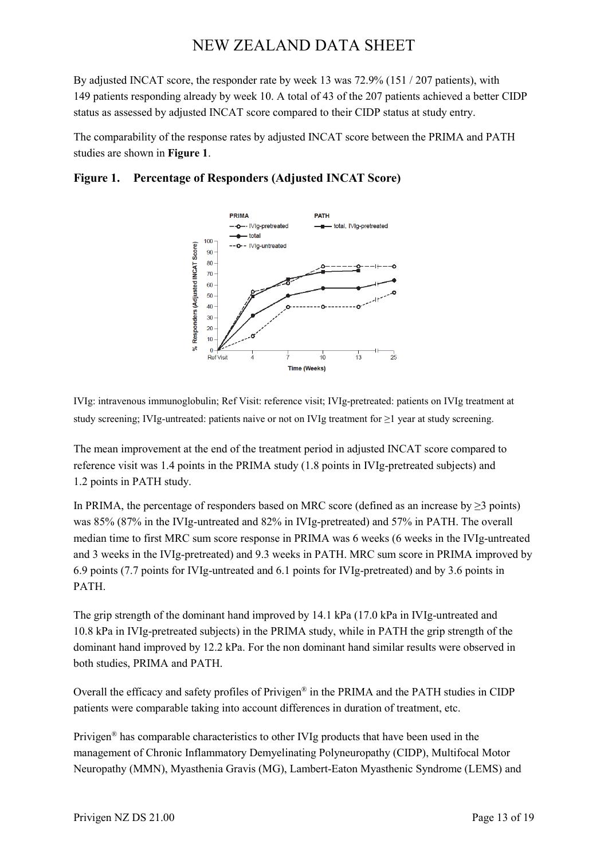By adjusted INCAT score, the responder rate by week 13 was 72.9% (151 / 207 patients), with 149 patients responding already by week 10. A total of 43 of the 207 patients achieved a better CIDP status as assessed by adjusted INCAT score compared to their CIDP status at study entry.

The comparability of the response rates by adjusted INCAT score between the PRIMA and PATH studies are shown in **Figure 1**.

#### **Figure 1. Percentage of Responders (Adjusted INCAT Score)**



IVIg: intravenous immunoglobulin; Ref Visit: reference visit; IVIg-pretreated: patients on IVIg treatment at study screening; IVIg-untreated: patients naive or not on IVIg treatment for ≥1 year at study screening.

The mean improvement at the end of the treatment period in adjusted INCAT score compared to reference visit was 1.4 points in the PRIMA study (1.8 points in IVIg-pretreated subjects) and 1.2 points in PATH study.

In PRIMA, the percentage of responders based on MRC score (defined as an increase by  $\geq$ 3 points) was 85% (87% in the IVIg-untreated and 82% in IVIg-pretreated) and 57% in PATH. The overall median time to first MRC sum score response in PRIMA was 6 weeks (6 weeks in the IVIg-untreated and 3 weeks in the IVIg-pretreated) and 9.3 weeks in PATH. MRC sum score in PRIMA improved by 6.9 points (7.7 points for IVIg-untreated and 6.1 points for IVIg-pretreated) and by 3.6 points in PATH.

The grip strength of the dominant hand improved by 14.1 kPa (17.0 kPa in IVIg-untreated and 10.8 kPa in IVIg-pretreated subjects) in the PRIMA study, while in PATH the grip strength of the dominant hand improved by 12.2 kPa. For the non dominant hand similar results were observed in both studies, PRIMA and PATH.

Overall the efficacy and safety profiles of Privigen® in the PRIMA and the PATH studies in CIDP patients were comparable taking into account differences in duration of treatment, etc.

Privigen® has comparable characteristics to other IVIg products that have been used in the management of Chronic Inflammatory Demyelinating Polyneuropathy (CIDP), Multifocal Motor Neuropathy (MMN), Myasthenia Gravis (MG), Lambert-Eaton Myasthenic Syndrome (LEMS) and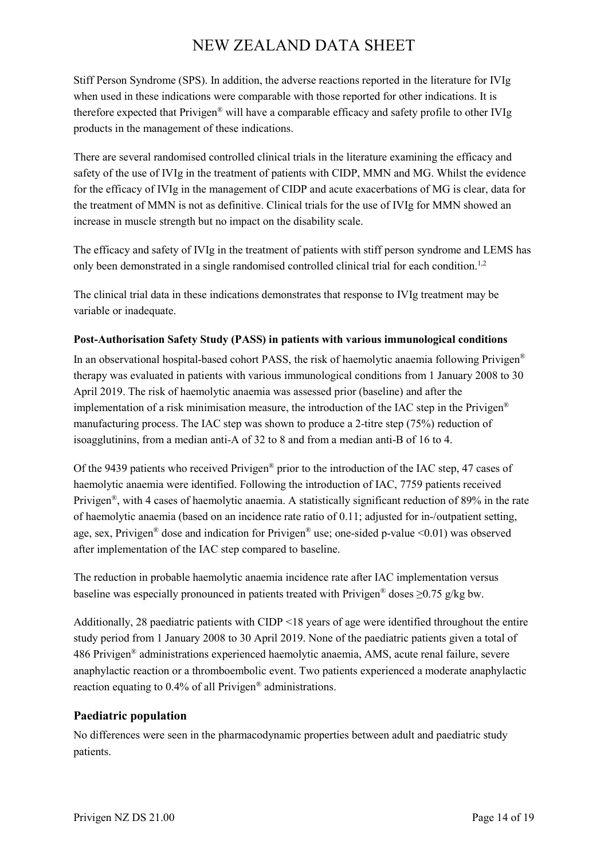Stiff Person Syndrome (SPS). In addition, the adverse reactions reported in the literature for IVIg when used in these indications were comparable with those reported for other indications. It is therefore expected that Privigen® will have a comparable efficacy and safety profile to other IVIg products in the management of these indications.

There are several randomised controlled clinical trials in the literature examining the efficacy and safety of the use of IVIg in the treatment of patients with CIDP, MMN and MG. Whilst the evidence for the efficacy of IVIg in the management of CIDP and acute exacerbations of MG is clear, data for the treatment of MMN is not as definitive. Clinical trials for the use of IVIg for MMN showed an increase in muscle strength but no impact on the disability scale.

The efficacy and safety of IVIg in the treatment of patients with stiff person syndrome and LEMS has only been demonstrated in a single randomised controlled clinical trial for each condition.<sup>1,2</sup>

The clinical trial data in these indications demonstrates that response to IVIg treatment may be variable or inadequate.

#### **Post-Authorisation Safety Study (PASS) in patients with various immunological conditions**

In an observational hospital-based cohort PASS, the risk of haemolytic anaemia following Privigen® therapy was evaluated in patients with various immunological conditions from 1 January 2008 to 30 April 2019. The risk of haemolytic anaemia was assessed prior (baseline) and after the implementation of a risk minimisation measure, the introduction of the IAC step in the Privigen® manufacturing process. The IAC step was shown to produce a 2-titre step (75%) reduction of isoagglutinins, from a median anti-A of 32 to 8 and from a median anti-B of 16 to 4.

Of the 9439 patients who received Privigen® prior to the introduction of the IAC step, 47 cases of haemolytic anaemia were identified. Following the introduction of IAC, 7759 patients received Privigen®, with 4 cases of haemolytic anaemia. A statistically significant reduction of 89% in the rate of haemolytic anaemia (based on an incidence rate ratio of 0.11; adjusted for in-/outpatient setting, age, sex, Privigen<sup>®</sup> dose and indication for Privigen<sup>®</sup> use; one-sided p-value <0.01) was observed after implementation of the IAC step compared to baseline.

The reduction in probable haemolytic anaemia incidence rate after IAC implementation versus baseline was especially pronounced in patients treated with Privigen<sup>®</sup> doses  $\geq 0.75$  g/kg bw.

Additionally, 28 paediatric patients with CIDP <18 years of age were identified throughout the entire study period from 1 January 2008 to 30 April 2019. None of the paediatric patients given a total of 486 Privigen® administrations experienced haemolytic anaemia, AMS, acute renal failure, severe anaphylactic reaction or a thromboembolic event. Two patients experienced a moderate anaphylactic reaction equating to 0.4% of all Privigen® administrations.

#### **Paediatric population**

No differences were seen in the pharmacodynamic properties between adult and paediatric study patients.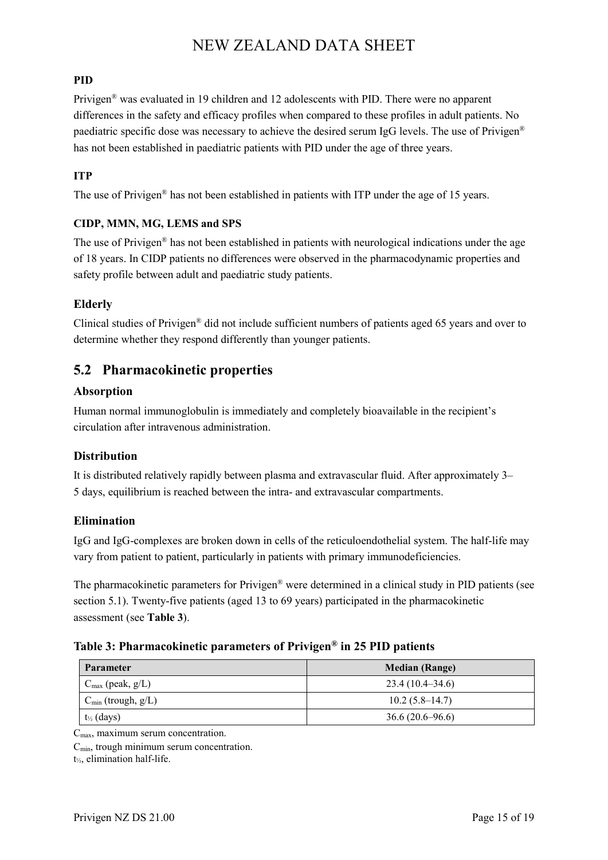#### **PID**

Privigen® was evaluated in 19 children and 12 adolescents with PID. There were no apparent differences in the safety and efficacy profiles when compared to these profiles in adult patients. No paediatric specific dose was necessary to achieve the desired serum IgG levels. The use of Privigen® has not been established in paediatric patients with PID under the age of three years.

#### **ITP**

The use of Privigen® has not been established in patients with ITP under the age of 15 years.

#### **CIDP, MMN, MG, LEMS and SPS**

The use of Privigen® has not been established in patients with neurological indications under the age of 18 years. In CIDP patients no differences were observed in the pharmacodynamic properties and safety profile between adult and paediatric study patients.

#### **Elderly**

Clinical studies of Privigen® did not include sufficient numbers of patients aged 65 years and over to determine whether they respond differently than younger patients.

#### **5.2 Pharmacokinetic properties**

#### **Absorption**

Human normal immunoglobulin is immediately and completely bioavailable in the recipient's circulation after intravenous administration.

#### **Distribution**

It is distributed relatively rapidly between plasma and extravascular fluid. After approximately 3– 5 days, equilibrium is reached between the intra- and extravascular compartments.

#### **Elimination**

IgG and IgG-complexes are broken down in cells of the reticuloendothelial system. The half-life may vary from patient to patient, particularly in patients with primary immunodeficiencies.

The pharmacokinetic parameters for Privigen® were determined in a clinical study in PID patients (see section 5.1). Twenty-five patients (aged 13 to 69 years) participated in the pharmacokinetic assessment (see **Table 3**).

#### **Table 3: Pharmacokinetic parameters of Privigen® in 25 PID patients**

| <b>Parameter</b>                | <b>Median (Range)</b> |
|---------------------------------|-----------------------|
| $C_{\text{max}}$ (peak, $g/L$ ) | $23.4(10.4-34.6)$     |
| $C_{\min}$ (trough, $g/L$ )     | $10.2(5.8-14.7)$      |
| $t_{\frac{1}{2}}$ (days)        | $36.6(20.6 - 96.6)$   |

 $C_{\text{max}}$ , maximum serum concentration.

 $C_{\text{min}}$ , trough minimum serum concentration.

t½, elimination half-life.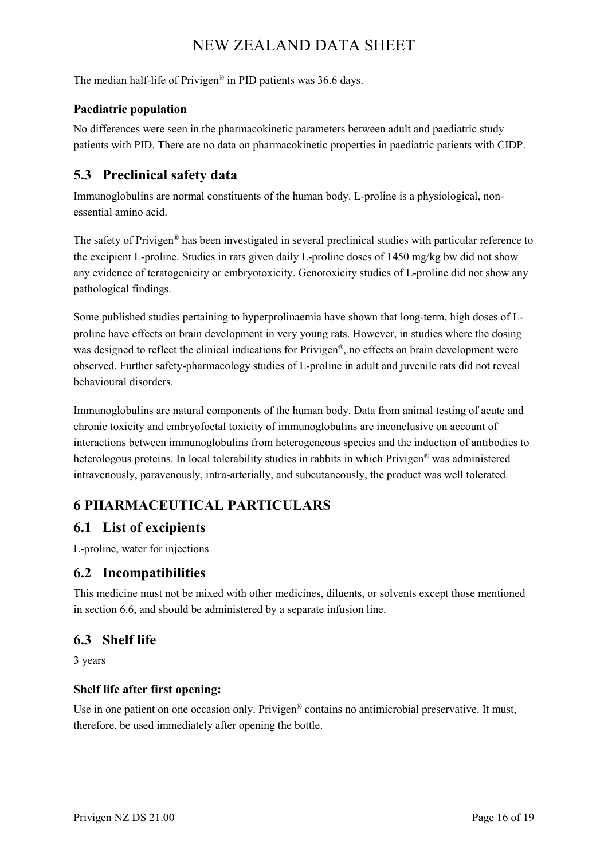The median half-life of Privigen® in PID patients was 36.6 days.

#### **Paediatric population**

No differences were seen in the pharmacokinetic parameters between adult and paediatric study patients with PID. There are no data on pharmacokinetic properties in paediatric patients with CIDP.

## **5.3 Preclinical safety data**

Immunoglobulins are normal constituents of the human body. L-proline is a physiological, nonessential amino acid.

The safety of Privigen® has been investigated in several preclinical studies with particular reference to the excipient L-proline. Studies in rats given daily L-proline doses of 1450 mg/kg bw did not show any evidence of teratogenicity or embryotoxicity. Genotoxicity studies of L-proline did not show any pathological findings.

Some published studies pertaining to hyperprolinaemia have shown that long-term, high doses of Lproline have effects on brain development in very young rats. However, in studies where the dosing was designed to reflect the clinical indications for Privigen®, no effects on brain development were observed. Further safety-pharmacology studies of L-proline in adult and juvenile rats did not reveal behavioural disorders.

Immunoglobulins are natural components of the human body. Data from animal testing of acute and chronic toxicity and embryofoetal toxicity of immunoglobulins are inconclusive on account of interactions between immunoglobulins from heterogeneous species and the induction of antibodies to heterologous proteins. In local tolerability studies in rabbits in which Privigen® was administered intravenously, paravenously, intra-arterially, and subcutaneously, the product was well tolerated.

## **6 PHARMACEUTICAL PARTICULARS**

## **6.1 List of excipients**

L-proline, water for injections

## **6.2 Incompatibilities**

This medicine must not be mixed with other medicines, diluents, or solvents except those mentioned in section 6.6, and should be administered by a separate infusion line.

## **6.3 Shelf life**

3 years

#### **Shelf life after first opening:**

Use in one patient on one occasion only. Privigen<sup>®</sup> contains no antimicrobial preservative. It must, therefore, be used immediately after opening the bottle.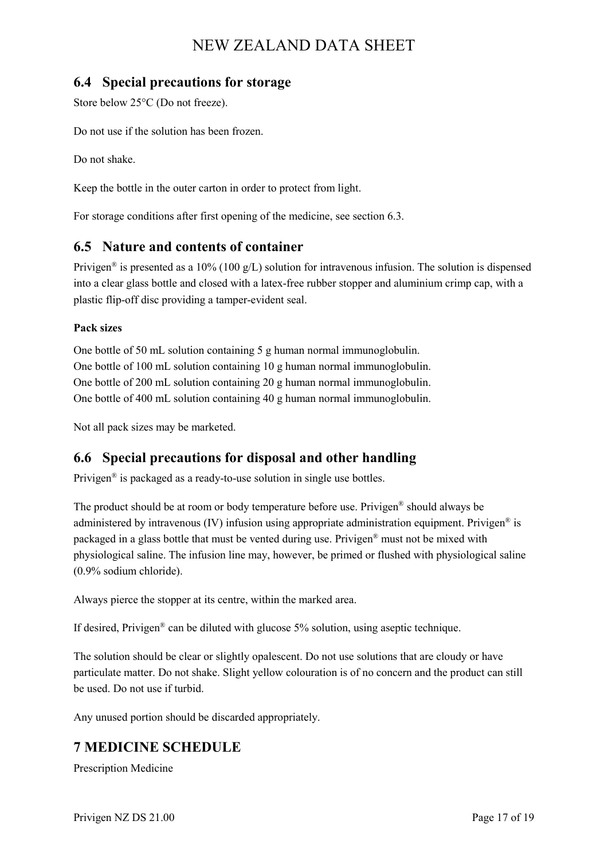## **6.4 Special precautions for storage**

Store below 25°C (Do not freeze).

Do not use if the solution has been frozen.

Do not shake.

Keep the bottle in the outer carton in order to protect from light.

For storage conditions after first opening of the medicine, see section 6.3.

## **6.5 Nature and contents of container**

Privigen<sup>®</sup> is presented as a 10% (100 g/L) solution for intravenous infusion. The solution is dispensed into a clear glass bottle and closed with a latex-free rubber stopper and aluminium crimp cap, with a plastic flip-off disc providing a tamper-evident seal.

#### **Pack sizes**

One bottle of 50 mL solution containing 5 g human normal immunoglobulin. One bottle of 100 mL solution containing 10 g human normal immunoglobulin. One bottle of 200 mL solution containing 20 g human normal immunoglobulin. One bottle of 400 mL solution containing 40 g human normal immunoglobulin.

Not all pack sizes may be marketed.

## **6.6 Special precautions for disposal and other handling**

Privigen® is packaged as a ready-to-use solution in single use bottles.

The product should be at room or body temperature before use. Privigen® should always be administered by intravenous (IV) infusion using appropriate administration equipment. Privigen® is packaged in a glass bottle that must be vented during use. Privigen® must not be mixed with physiological saline. The infusion line may, however, be primed or flushed with physiological saline (0.9% sodium chloride).

Always pierce the stopper at its centre, within the marked area.

If desired, Privigen® can be diluted with glucose 5% solution, using aseptic technique.

The solution should be clear or slightly opalescent. Do not use solutions that are cloudy or have particulate matter. Do not shake. Slight yellow colouration is of no concern and the product can still be used. Do not use if turbid.

Any unused portion should be discarded appropriately.

## **7 MEDICINE SCHEDULE**

Prescription Medicine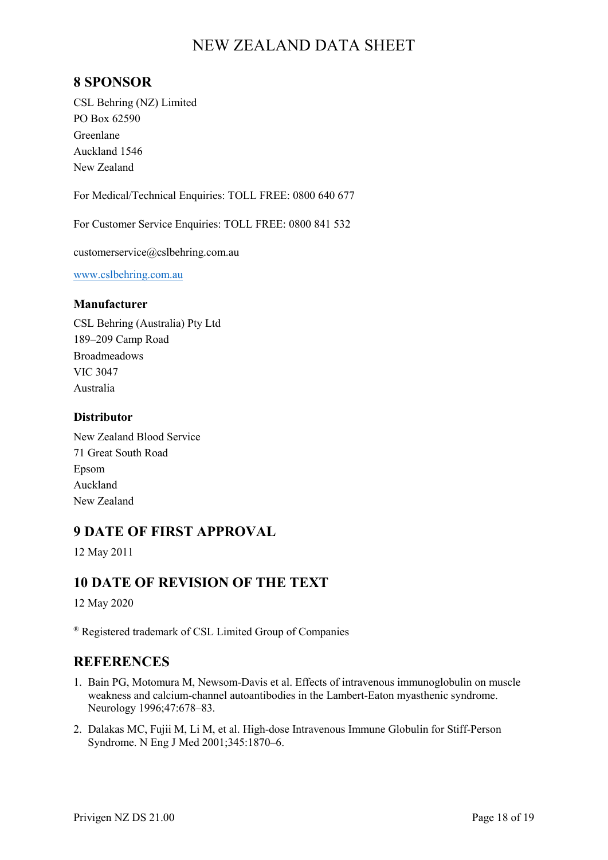## **8 SPONSOR**

CSL Behring (NZ) Limited PO Box 62590 Greenlane Auckland 1546 New Zealand

For Medical/Technical Enquiries: TOLL FREE: 0800 640 677

For Customer Service Enquiries: TOLL FREE: 0800 841 532

customerservice@cslbehring.com.au

[www.cslbehring.com.au](http://www.cslbehring.com.au/)

#### **Manufacturer**

CSL Behring (Australia) Pty Ltd 189–209 Camp Road Broadmeadows VIC 3047 Australia

#### **Distributor**

New Zealand Blood Service 71 Great South Road Epsom Auckland New Zealand

#### **9 DATE OF FIRST APPROVAL**

12 May 2011

#### **10 DATE OF REVISION OF THE TEXT**

12 May 2020

® Registered trademark of CSL Limited Group of Companies

#### **REFERENCES**

- 1. Bain PG, Motomura M, Newsom-Davis et al. Effects of intravenous immunoglobulin on muscle weakness and calcium-channel autoantibodies in the Lambert-Eaton myasthenic syndrome. Neurology 1996;47:678–83.
- 2. Dalakas MC, Fujii M, Li M, et al. High-dose Intravenous Immune Globulin for Stiff-Person Syndrome. N Eng J Med 2001;345:1870–6.